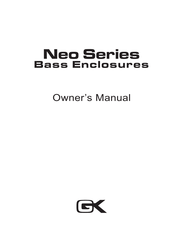# **Neo Series Bass Enclosures**

Owner's Manual

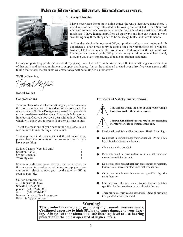## **Neo Series Bass Enclosures**



#### **Always Listening**

I have never seen the point in doing things the way others have done them. I also have not been very interested in following the latest fad. I'm a Stanford educated engineer who worked my way through school as a musician. Like all musicians, I have lugged amplifiers up stairways and into car trunks, always wondering why these things had to be so heavy, bulky, and hard to handle.

As I am the principal innovator at GK, our products reflect my attitudes and life experiences. I don't model my designs after other manufacturers' products. Instead, I believe new and old problems are best solved with new solutions. Having taken our own path, GK products enjoy a unique, unmatched sound, allowing you every opportunity to make an original statement.

Having supported my products for over thirty years, I have learned from the story they tell. Gallien-Krueger is a reflection of that story, and has a commitment to support that legacy. Just as the products I created over thirty five years ago are still telling their story, the products we create today will be talking to us tomorrow.

We'll be listening,

 $\infty$ 

**Robert Gallien**

#### **Congratulations**

Your purchase of a new Gallien-Krueger product is surely the result of much careful consideration on your part. For our part, we at Gallien-Krueger are pleased that you chose us, and are determined that you will be a satisfied customer. In choosing GK, you now own gear with unique features which will allow you to create your own distinct sound.

To get the most out of your new amplifier please take a few minutes to read through this manual.

Your amplifier should have come with the following items, please check the contents of the box to ensure that you have everything.

| Swivel Castors (Neo 410 only) |  |
|-------------------------------|--|
| Speakon Cable                 |  |
| Owner's manual                |  |
| Warranty card                 |  |

If your unit did not come with all the items listed, or if you encounter problems while setting up your new equipment, please contact your local dealer or GK as soon as possible.

Gallien-Krueger, Inc. 2234 Industrial Drive Stockton, CA 95206 phone: (209) 234-7300 fax:  $(209)$  234-8420 Internet: www.gallien-krueger.com Email: info@gallien.com

#### **Important Safety Instructions:**



**This symbol warns the user of dangerous voltage levels localized within the enclosure.**

**This symbol advises the user to read all accompanying literature for safe operation of the unit.**

- Read, retain and follow all instructions. Heed all warnings.
- Do not use this product near water or liquids. Do not place liquid filled containers on this unit.
- Clean only with a dry cloth.
- Place only on a firm, level surface. A surface that vibrates or moves is unsafe for the unit.
- Do not place this product near heat sources such as radiators, heat registers, stoves, or other units that produce heat.
- Only use attachments/accessories specified by the manufacturer.
- Use only with the cart, stand, tripod, bracket or table specified by the manufacturer or sold with the unit.
- There are no user serviceable parts inside. Refer all servicing to a qualified service personnel.

**Warning! This product is capable of producing high sound pressure levels. Continued exposure to high SPL's can cause damage to your hearing. Always set the volume at a safe listening level or use hearing protection if the unit is operated at higher levels.**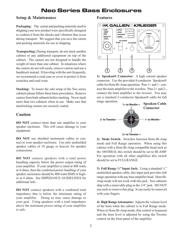# **Neo Series Bass Enclosures**

#### **Setup & Maintenance**

**Packaging:** The carton and packing materials used in shipping your new product were specifically designed to cushion it from the shocks and vibration that occur during transport. We suggest that you save the carton and packing materials for use in shipping.

**Transporting:** During transport, do not stack another cabinet or any additional equipment on top of the cabinet. The castors are not designed to handle the weight of more than one cabinet. In situations where the castors do not roll easily, remove castors and use a handtruck instead. If traveling with the unit frequently, we recommend a road case or cover to protect it from scratches and road wear.

**Stacking:** To insure the safe setup of the Neo series cabinets please follow these basic procedures. Remove castors from both cabinets before stacking. Never stack more than two cabinets when in use. Make sure that interlocking corners are securely seated.

#### **Caution**

**DO NOT** connect more than one amplifier to your speaker enclosure. This will cause damage to your equipment.

**DO NOT** use shielded instrument cables to connect to your speaker enclosure. Use only unshielded speaker cables of 18 gauge or heavier for speaker connections.

**DO NOT** connect speakers with a total power handling capacity below the power output rating of your amplifier. If your amplifier is rated at 400 watts at 4 ohms, then the combined power handling of your speaker enclosures should be 400 watts RMS or higher at 4 ohms. See IMPEDANCE GUIDELINES for additional info.

**DO NOT** connect speakers with a combined total impedance that is below the minimum rating of your amplifier. Doing so may cause damage to your gear. Using speakers with a total impedance above the minimum power rating of your amplifier is safe.

#### **Features**



**1) Speakon® Connector:** A high current speaker connector. Use the provided 4-conductor Speakon® cable for Horn Bi-Amp operation. Pins 1+ and 1- connect the main amplifier to the woofers. Pins 2+ and 2-, connect the horn amplifier to the tweeter. You may use a standard 2-conductor Speakon® cable for full range operation .



**2) Mode Switch:** Switches between Horn Bi-Amp mode and Full Range operation. When using this cabinet with a Horn Bi-Amp compatible head such as the 1001RB-II, this switch should be set to BI-AMP. For operation with all other amplifiers this switch should be set to FULLRANGE.

**3) Full Range ¼'' Input Jack:** Using a standard ¼'' unshielded speaker cable, this input jack provides full range operation with any bass amplifier head. Horn Bi-Amp mode will not work with this jack. Neo cabinets ship with a removable plug in the 1/4" jack. DO NOT use tools to remove this plug. It can easily be removed with your fingers.

**4) High Range Attenuator:** Adjusts the volume level of the horn when the cabinet is in Full Range mode. When in Horn Bi-Amp mode, this control is bypassed and the horn level is adjusted by using the Tweeter control on the front panel of the amplifier.